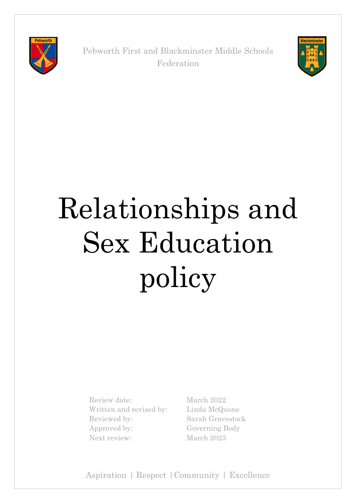

Pebworth First and Blackminster Middle Schools Federation



# Relationships and Sex Education policy

Review date: March 2022 Written and revised by: Linda McQuone Reviewed by: Sarah Gravestock Approved by: Governing Body Next review: March 2023

Aspiration | Respect |Community | Excellence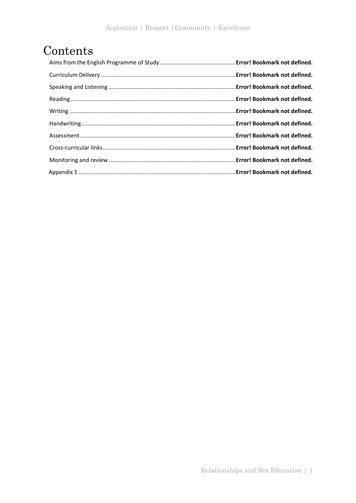## Contents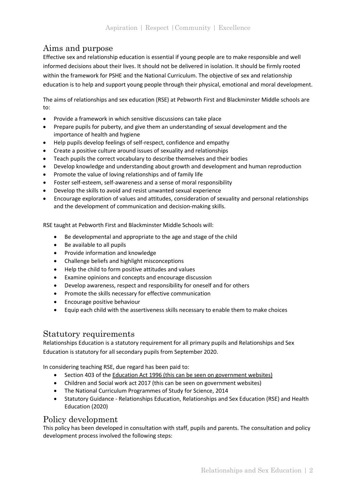## Aims and purpose

Effective sex and relationship education is essential if young people are to make responsible and well informed decisions about their lives. It should not be delivered in isolation. It should be firmly rooted within the framework for PSHE and the National Curriculum. The objective of sex and relationship education is to help and support young people through their physical, emotional and moral development.

The aims of relationships and sex education (RSE) at Pebworth First and Blackminster Middle schools are to:

- Provide a framework in which sensitive discussions can take place
- Prepare pupils for puberty, and give them an understanding of sexual development and the importance of health and hygiene
- Help pupils develop feelings of self-respect, confidence and empathy
- Create a positive culture around issues of sexuality and relationships
- Teach pupils the correct vocabulary to describe themselves and their bodies
- Develop knowledge and understanding about growth and development and human reproduction
- Promote the value of loving relationships and of family life
- Foster self-esteem, self-awareness and a sense of moral responsibility
- Develop the skills to avoid and resist unwanted sexual experience
- Encourage exploration of values and attitudes, consideration of sexuality and personal relationships and the development of communication and decision-making skills.

RSE taught at Pebworth First and Blackminster Middle Schools will:

- Be developmental and appropriate to the age and stage of the child
- Be available to all pupils
- Provide information and knowledge
- Challenge beliefs and highlight misconceptions
- Help the child to form positive attitudes and values
- Examine opinions and concepts and encourage discussion
- Develop awareness, respect and responsibility for oneself and for others
- Promote the skills necessary for effective communication
- Encourage positive behaviour
- Equip each child with the assertiveness skills necessary to enable them to make choices

#### Statutory requirements

Relationships Education is a statutory requirement for all primary pupils and Relationships and Sex Education is statutory for all secondary pupils from September 2020.

In considering teaching RSE, due regard has been paid to:

- Section 403 of the Education Act 1996 (this can be seen on government websites)
- Children and Social work act 2017 (this can be seen on government websites)
- The National Curriculum Programmes of Study for Science, 2014
- Statutory Guidance Relationships Education, Relationships and Sex Education (RSE) and Health Education (2020)

#### Policy development

This policy has been developed in consultation with staff, pupils and parents. The consultation and policy development process involved the following steps: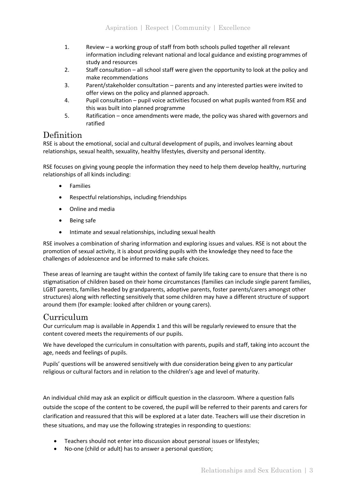- 1. Review a working group of staff from both schools pulled together all relevant information including relevant national and local guidance and existing programmes of study and resources
- 2. Staff consultation all school staff were given the opportunity to look at the policy and make recommendations
- 3. Parent/stakeholder consultation parents and any interested parties were invited to offer views on the policy and planned approach.
- 4. Pupil consultation pupil voice activities focused on what pupils wanted from RSE and this was built into planned programme
- 5. Ratification once amendments were made, the policy was shared with governors and ratified

#### Definition

RSE is about the emotional, social and cultural development of pupils, and involves learning about relationships, sexual health, sexuality, healthy lifestyles, diversity and personal identity.

RSE focuses on giving young people the information they need to help them develop healthy, nurturing relationships of all kinds including:

- **Families**
- Respectful relationships, including friendships
- Online and media
- Being safe
- Intimate and sexual relationships, including sexual health

RSE involves a combination of sharing information and exploring issues and values. RSE is not about the promotion of sexual activity, it is about providing pupils with the knowledge they need to face the challenges of adolescence and be informed to make safe choices.

These areas of learning are taught within the context of family life taking care to ensure that there is no stigmatisation of children based on their home circumstances (families can include single parent families, LGBT parents, families headed by grandparents, adoptive parents, foster parents/carers amongst other structures) along with reflecting sensitively that some children may have a different structure of support around them (for example: looked after children or young carers).

#### Curriculum

Our curriculum map is available in Appendix 1 and this will be regularly reviewed to ensure that the content covered meets the requirements of our pupils.

We have developed the curriculum in consultation with parents, pupils and staff, taking into account the age, needs and feelings of pupils.

Pupils' questions will be answered sensitively with due consideration being given to any particular religious or cultural factors and in relation to the children's age and level of maturity.

An individual child may ask an explicit or difficult question in the classroom. Where a question falls outside the scope of the content to be covered, the pupil will be referred to their parents and carers for clarification and reassured that this will be explored at a later date. Teachers will use their discretion in these situations, and may use the following strategies in responding to questions:

- Teachers should not enter into discussion about personal issues or lifestyles;
- No-one (child or adult) has to answer a personal question;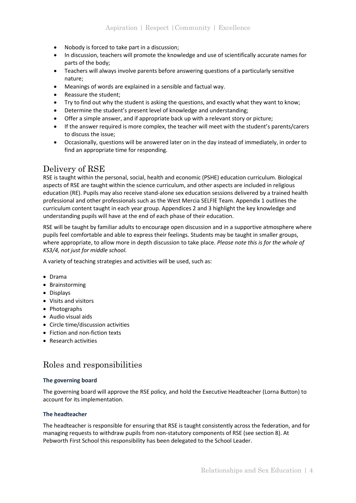- Nobody is forced to take part in a discussion;
- In discussion, teachers will promote the knowledge and use of scientifically accurate names for parts of the body;
- Teachers will always involve parents before answering questions of a particularly sensitive nature;
- Meanings of words are explained in a sensible and factual way.
- Reassure the student;
- Try to find out why the student is asking the questions, and exactly what they want to know;
- Determine the student's present level of knowledge and understanding;
- Offer a simple answer, and if appropriate back up with a relevant story or picture;
- If the answer required is more complex, the teacher will meet with the student's parents/carers to discuss the issue;
- Occasionally, questions will be answered later on in the day instead of immediately, in order to find an appropriate time for responding.

#### Delivery of RSE

RSE is taught within the personal, social, health and economic (PSHE) education curriculum. Biological aspects of RSE are taught within the science curriculum, and other aspects are included in religious education (RE). Pupils may also receive stand-alone sex education sessions delivered by a trained health professional and other professionals such as the West Mercia SELFIE Team. Appendix 1 outlines the curriculum content taught in each year group. Appendices 2 and 3 highlight the key knowledge and understanding pupils will have at the end of each phase of their education.

RSE will be taught by familiar adults to encourage open discussion and in a supportive atmosphere where pupils feel comfortable and able to express their feelings. Students may be taught in smaller groups, where appropriate, to allow more in depth discussion to take place. *Please note this is for the whole of KS3/4, not just for middle school.*

A variety of teaching strategies and activities will be used, such as:

- Drama
- Brainstorming
- Displays
- Visits and visitors
- Photographs
- Audio visual aids
- Circle time/discussion activities
- Fiction and non-fiction texts
- Research activities

## Roles and responsibilities

#### **The governing board**

The governing board will approve the RSE policy, and hold the Executive Headteacher (Lorna Button) to account for its implementation.

#### **The headteacher**

The headteacher is responsible for ensuring that RSE is taught consistently across the federation, and for managing requests to withdraw pupils from non-statutory components of RSE (see section 8). At Pebworth First School this responsibility has been delegated to the School Leader.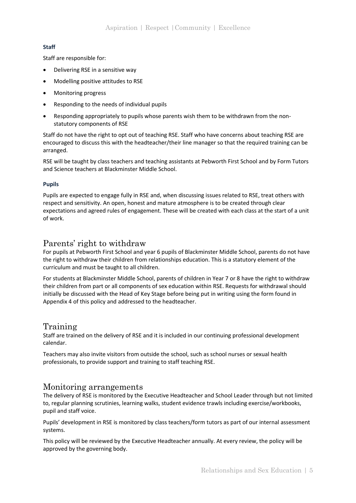#### **Staff**

Staff are responsible for:

- Delivering RSE in a sensitive way
- Modelling positive attitudes to RSE
- Monitoring progress
- Responding to the needs of individual pupils
- Responding appropriately to pupils whose parents wish them to be withdrawn from the nonstatutory components of RSE

Staff do not have the right to opt out of teaching RSE. Staff who have concerns about teaching RSE are encouraged to discuss this with the headteacher/their line manager so that the required training can be arranged.

RSE will be taught by class teachers and teaching assistants at Pebworth First School and by Form Tutors and Science teachers at Blackminster Middle School.

#### **Pupils**

Pupils are expected to engage fully in RSE and, when discussing issues related to RSE, treat others with respect and sensitivity. An open, honest and mature atmosphere is to be created through clear expectations and agreed rules of engagement. These will be created with each class at the start of a unit of work.

#### Parents' right to withdraw

For pupils at Pebworth First School and year 6 pupils of Blackminster Middle School, parents do not have the right to withdraw their children from relationships education. This is a statutory element of the curriculum and must be taught to all children.

For students at Blackminster Middle School, parents of children in Year 7 or 8 have the right to withdraw their children from part or all components of sex education within RSE. Requests for withdrawal should initially be discussed with the Head of Key Stage before being put in writing using the form found in Appendix 4 of this policy and addressed to the headteacher.

#### Training

Staff are trained on the delivery of RSE and it is included in our continuing professional development calendar.

Teachers may also invite visitors from outside the school, such as school nurses or sexual health professionals, to provide support and training to staff teaching RSE.

#### Monitoring arrangements

The delivery of RSE is monitored by the Executive Headteacher and School Leader through but not limited to, regular planning scrutinies, learning walks, student evidence trawls including exercise/workbooks, pupil and staff voice.

Pupils' development in RSE is monitored by class teachers/form tutors as part of our internal assessment systems.

This policy will be reviewed by the Executive Headteacher annually. At every review, the policy will be approved by the governing body.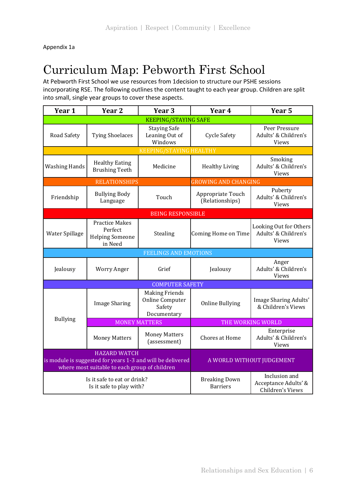Appendix 1a

# Curriculum Map: Pebworth First School

At Pebworth First School we use resources from 1decision to structure our PSHE sessions incorporating RSE. The following outlines the content taught to each year group. Children are split into small, single year groups to cover these aspects.

| Year 1                                                                                                                             | Year <sub>2</sub>                                                     | Year <sub>3</sub>                                                 | Year 4                                  | Year <sub>5</sub>                                              |
|------------------------------------------------------------------------------------------------------------------------------------|-----------------------------------------------------------------------|-------------------------------------------------------------------|-----------------------------------------|----------------------------------------------------------------|
|                                                                                                                                    |                                                                       | <b>KEEPING/STAYING SAFE</b>                                       |                                         |                                                                |
| Road Safety                                                                                                                        | <b>Tying Shoelaces</b>                                                | <b>Staying Safe</b><br>Leaning Out of<br>Windows                  | <b>Cycle Safety</b>                     | Peer Pressure<br>Adults' & Children's<br><b>Views</b>          |
|                                                                                                                                    |                                                                       | <b>KEEPING/STAYING HEALTHY</b>                                    |                                         |                                                                |
| <b>Washing Hands</b>                                                                                                               | <b>Healthy Eating</b><br><b>Brushing Teeth</b>                        | Medicine                                                          | <b>Healthy Living</b>                   | Smoking<br>Adults' & Children's<br>Views                       |
|                                                                                                                                    | <b>RELATIONSHIPS</b>                                                  |                                                                   | <b>GROWING AND CHANGING</b>             |                                                                |
| Friendship                                                                                                                         | <b>Bullying Body</b><br>Language                                      | Touch                                                             | Appropriate Touch<br>(Relationships)    | Puberty<br>Adults' & Children's<br><b>Views</b>                |
|                                                                                                                                    |                                                                       | <b>BEING RESPONSIBLE</b>                                          |                                         |                                                                |
| Water Spillage                                                                                                                     | <b>Practice Makes</b><br>Perfect<br><b>Helping Someone</b><br>in Need | Stealing                                                          | Coming Home on Time                     | Looking Out for Others<br>Adults' & Children's<br><b>Views</b> |
|                                                                                                                                    |                                                                       | <b>FEELINGS AND EMOTIONS</b>                                      |                                         |                                                                |
| Jealousy                                                                                                                           | <b>Worry Anger</b>                                                    | Grief                                                             | Jealousy                                | Anger<br>Adults' & Children's<br><b>Views</b>                  |
|                                                                                                                                    |                                                                       | <b>COMPUTER SAFETY</b>                                            |                                         |                                                                |
|                                                                                                                                    | <b>Image Sharing</b>                                                  | <b>Making Friends</b><br>Online Computer<br>Safety<br>Documentary | <b>Online Bullying</b>                  | Image Sharing Adults'<br>& Children's Views                    |
| <b>Bullying</b>                                                                                                                    |                                                                       | <b>MONEY MATTERS</b>                                              |                                         | THE WORKING WORLD                                              |
|                                                                                                                                    | <b>Money Matters</b>                                                  | <b>Money Matters</b><br>(assessment)                              | Chores at Home                          | Enterprise<br>Adults' & Children's<br><b>Views</b>             |
| <b>HAZARD WATCH</b><br>is module is suggested for years 1-3 and will be delivered<br>where most suitable to each group of children |                                                                       |                                                                   | A WORLD WITHOUT JUDGEMENT               |                                                                |
| Is it safe to eat or drink?<br>Is it safe to play with?                                                                            |                                                                       |                                                                   | <b>Breaking Down</b><br><b>Barriers</b> | Inclusion and<br>Acceptance Adults' &<br>Children's Views      |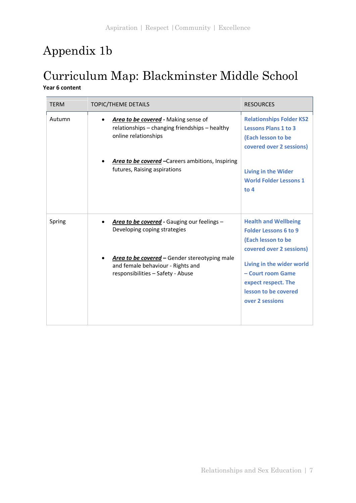# Appendix 1b

## Curriculum Map: Blackminster Middle School **Year 6 content**

| <b>TFRM</b> | <b>TOPIC/THEME DETAILS</b>                                                                                              | <b>RESOURCES</b>                                                                                                 |
|-------------|-------------------------------------------------------------------------------------------------------------------------|------------------------------------------------------------------------------------------------------------------|
| Autumn      | Area to be covered - Making sense of<br>relationships - changing friendships - healthy<br>online relationships          | <b>Relationships Folder KS2</b><br><b>Lessons Plans 1 to 3</b><br>(Each lesson to be<br>covered over 2 sessions) |
|             | Area to be covered - Careers ambitions, Inspiring<br>futures, Raising aspirations                                       | <b>Living in the Wider</b><br><b>World Folder Lessons 1</b><br>to $4$                                            |
| Spring      | Area to be covered - Gauging our feelings -<br>Developing coping strategies                                             | <b>Health and Wellbeing</b><br><b>Folder Lessons 6 to 9</b><br>(Each lesson to be<br>covered over 2 sessions)    |
|             | Area to be covered - Gender stereotyping male<br>and female behaviour - Rights and<br>responsibilities - Safety - Abuse | Living in the wider world<br>- Court room Game<br>expect respect. The<br>lesson to be covered<br>over 2 sessions |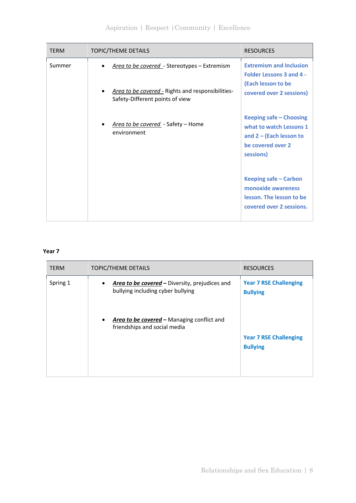| <b>TERM</b> | <b>TOPIC/THEME DETAILS</b>                                                                                                           | <b>RESOURCES</b>                                                                                                    |
|-------------|--------------------------------------------------------------------------------------------------------------------------------------|---------------------------------------------------------------------------------------------------------------------|
| Summer      | Area to be covered - Stereotypes - Extremism<br>Area to be covered - Rights and responsibilities-<br>Safety-Different points of view | <b>Extremism and Inclusion</b><br><b>Folder Lessons 3 and 4 -</b><br>(Each lesson to be<br>covered over 2 sessions) |
|             | Area to be covered - Safety - Home<br>environment                                                                                    | Keeping safe - Choosing<br>what to watch Lessons 1<br>and $2 -$ (Each lesson to<br>be covered over 2<br>sessions)   |
|             |                                                                                                                                      | Keeping safe - Carbon<br>monoxide awareness<br>lesson. The lesson to be<br>covered over 2 sessions.                 |

#### **Year 7**

| <b>TERM</b> | <b>TOPIC/THEME DETAILS</b>                                                          | <b>RESOURCES</b>                                 |
|-------------|-------------------------------------------------------------------------------------|--------------------------------------------------|
| Spring 1    | Area to be covered - Diversity, prejudices and<br>bullying including cyber bullying | <b>Year 7 RSE Challenging</b><br><b>Bullying</b> |
|             | Area to be covered - Managing conflict and<br>friendships and social media          | <b>Year 7 RSE Challenging</b><br><b>Bullying</b> |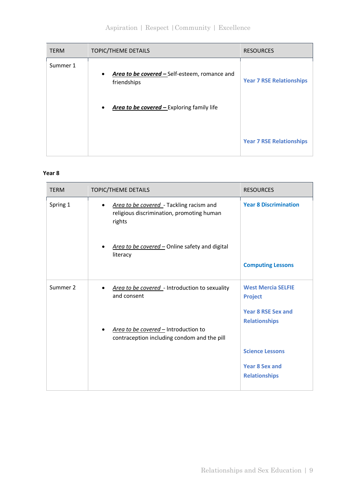## Aspiration | Respect |Community | Excellence

| <b>TERM</b> | TOPIC/THEME DETAILS                                          | <b>RESOURCES</b>                |
|-------------|--------------------------------------------------------------|---------------------------------|
| Summer 1    | Area to be covered - Self-esteem, romance and<br>friendships | <b>Year 7 RSE Relationships</b> |
|             | Area to be covered - Exploring family life<br>٠              |                                 |
|             |                                                              | <b>Year 7 RSE Relationships</b> |

#### **Year 8**

| <b>TERM</b> | <b>TOPIC/THEME DETAILS</b>                                                                      | <b>RESOURCES</b>                                  |
|-------------|-------------------------------------------------------------------------------------------------|---------------------------------------------------|
| Spring 1    | Area to be covered - Tackling racism and<br>religious discrimination, promoting human<br>rights | <b>Year 8 Discrimination</b>                      |
|             | Area to be covered - Online safety and digital<br>literacy                                      |                                                   |
|             |                                                                                                 | <b>Computing Lessons</b>                          |
| Summer 2    | Area to be covered - Introduction to sexuality<br>and consent                                   | <b>West Mercia SELFIE</b><br><b>Project</b>       |
|             |                                                                                                 | <b>Year 8 RSE Sex and</b><br><b>Relationships</b> |
|             | Area to be covered - Introduction to<br>contraception including condom and the pill             |                                                   |
|             |                                                                                                 | <b>Science Lessons</b>                            |
|             |                                                                                                 | <b>Year 8 Sex and</b>                             |
|             |                                                                                                 | <b>Relationships</b>                              |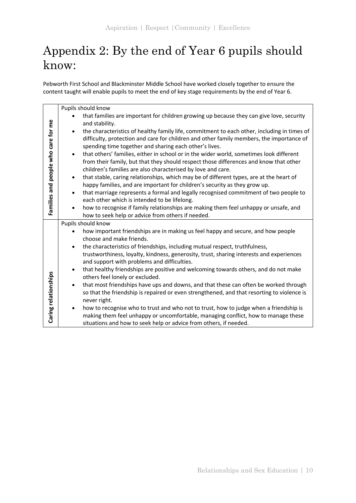# Appendix 2: By the end of Year 6 pupils should know:

Pebworth First School and Blackminster Middle School have worked closely together to ensure the content taught will enable pupils to meet the end of key stage requirements by the end of Year 6.

|                                     |           | Pupils should know                                                                                                                        |
|-------------------------------------|-----------|-------------------------------------------------------------------------------------------------------------------------------------------|
|                                     |           | that families are important for children growing up because they can give love, security                                                  |
|                                     |           | and stability.                                                                                                                            |
|                                     | $\bullet$ | the characteristics of healthy family life, commitment to each other, including in times of                                               |
|                                     |           | difficulty, protection and care for children and other family members, the importance of                                                  |
|                                     |           | spending time together and sharing each other's lives.                                                                                    |
|                                     | $\bullet$ | that others' families, either in school or in the wider world, sometimes look different                                                   |
|                                     |           | from their family, but that they should respect those differences and know that other                                                     |
|                                     |           | children's families are also characterised by love and care.                                                                              |
| Families and people who care for me | $\bullet$ | that stable, caring relationships, which may be of different types, are at the heart of                                                   |
|                                     |           | happy families, and are important for children's security as they grow up.                                                                |
|                                     | $\bullet$ | that marriage represents a formal and legally recognised commitment of two people to                                                      |
|                                     |           | each other which is intended to be lifelong.                                                                                              |
|                                     | $\bullet$ | how to recognise if family relationships are making them feel unhappy or unsafe, and<br>how to seek help or advice from others if needed. |
|                                     |           | Pupils should know                                                                                                                        |
|                                     |           |                                                                                                                                           |
|                                     |           | how important friendships are in making us feel happy and secure, and how people<br>choose and make friends.                              |
|                                     | $\bullet$ | the characteristics of friendships, including mutual respect, truthfulness,                                                               |
|                                     |           | trustworthiness, loyalty, kindness, generosity, trust, sharing interests and experiences                                                  |
|                                     |           | and support with problems and difficulties.                                                                                               |
|                                     | $\bullet$ | that healthy friendships are positive and welcoming towards others, and do not make                                                       |
|                                     |           | others feel lonely or excluded.                                                                                                           |
|                                     | $\bullet$ | that most friendships have ups and downs, and that these can often be worked through                                                      |
|                                     |           | so that the friendship is repaired or even strengthened, and that resorting to violence is                                                |
| Caring relationships                |           | never right.                                                                                                                              |
|                                     | $\bullet$ | how to recognise who to trust and who not to trust, how to judge when a friendship is                                                     |
|                                     |           | making them feel unhappy or uncomfortable, managing conflict, how to manage these                                                         |
|                                     |           | situations and how to seek help or advice from others, if needed.                                                                         |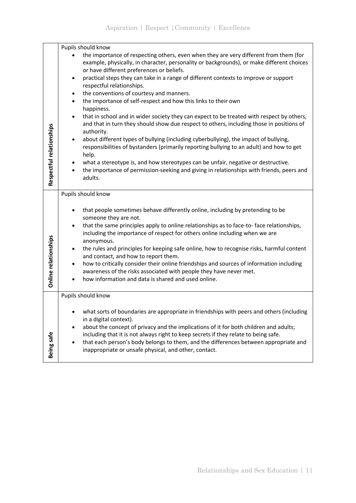|                          | Pupils should know                                                                                                                                                                                                                                                                                                                                                                                                                                                                                                                                                                                                                                                                                                                                                                                                                                                                                                                                                                                                                                                                                                           |
|--------------------------|------------------------------------------------------------------------------------------------------------------------------------------------------------------------------------------------------------------------------------------------------------------------------------------------------------------------------------------------------------------------------------------------------------------------------------------------------------------------------------------------------------------------------------------------------------------------------------------------------------------------------------------------------------------------------------------------------------------------------------------------------------------------------------------------------------------------------------------------------------------------------------------------------------------------------------------------------------------------------------------------------------------------------------------------------------------------------------------------------------------------------|
| Respectful relationships | the importance of respecting others, even when they are very different from them (for<br>example, physically, in character, personality or backgrounds), or make different choices<br>or have different preferences or beliefs.<br>practical steps they can take in a range of different contexts to improve or support<br>respectful relationships.<br>the conventions of courtesy and manners.<br>$\bullet$<br>the importance of self-respect and how this links to their own<br>٠<br>happiness.<br>that in school and in wider society they can expect to be treated with respect by others,<br>$\bullet$<br>and that in turn they should show due respect to others, including those in positions of<br>authority.<br>about different types of bullying (including cyberbullying), the impact of bullying,<br>$\bullet$<br>responsibilities of bystanders (primarily reporting bullying to an adult) and how to get<br>help.<br>what a stereotype is, and how stereotypes can be unfair, negative or destructive.<br>the importance of permission-seeking and giving in relationships with friends, peers and<br>adults. |
|                          | Pupils should know                                                                                                                                                                                                                                                                                                                                                                                                                                                                                                                                                                                                                                                                                                                                                                                                                                                                                                                                                                                                                                                                                                           |
| Online relationships     | that people sometimes behave differently online, including by pretending to be<br>٠<br>someone they are not.<br>that the same principles apply to online relationships as to face-to-face relationships,<br>٠<br>including the importance of respect for others online including when we are<br>anonymous.<br>the rules and principles for keeping safe online, how to recognise risks, harmful content<br>$\bullet$<br>and contact, and how to report them.<br>how to critically consider their online friendships and sources of information including<br>awareness of the risks associated with people they have never met.<br>how information and data is shared and used online.                                                                                                                                                                                                                                                                                                                                                                                                                                        |
|                          | Pupils should know                                                                                                                                                                                                                                                                                                                                                                                                                                                                                                                                                                                                                                                                                                                                                                                                                                                                                                                                                                                                                                                                                                           |
| Being safe               | what sorts of boundaries are appropriate in friendships with peers and others (including<br>in a digital context).<br>about the concept of privacy and the implications of it for both children and adults;<br>including that it is not always right to keep secrets if they relate to being safe.<br>that each person's body belongs to them, and the differences between appropriate and<br>inappropriate or unsafe physical, and other, contact.                                                                                                                                                                                                                                                                                                                                                                                                                                                                                                                                                                                                                                                                          |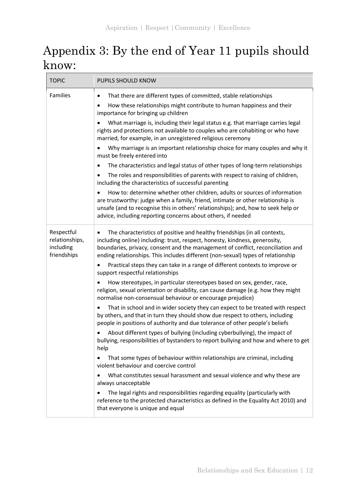# Appendix 3: By the end of Year 11 pupils should know:

| <b>TOPIC</b>                                             | PUPILS SHOULD KNOW                                                                                                                                                                                                                                                                                                                           |
|----------------------------------------------------------|----------------------------------------------------------------------------------------------------------------------------------------------------------------------------------------------------------------------------------------------------------------------------------------------------------------------------------------------|
| Families                                                 | That there are different types of committed, stable relationships<br>$\bullet$<br>How these relationships might contribute to human happiness and their<br>importance for bringing up children                                                                                                                                               |
|                                                          | What marriage is, including their legal status e.g. that marriage carries legal<br>rights and protections not available to couples who are cohabiting or who have<br>married, for example, in an unregistered religious ceremony                                                                                                             |
|                                                          | Why marriage is an important relationship choice for many couples and why it<br>must be freely entered into                                                                                                                                                                                                                                  |
|                                                          | The characteristics and legal status of other types of long-term relationships                                                                                                                                                                                                                                                               |
|                                                          | The roles and responsibilities of parents with respect to raising of children,<br>including the characteristics of successful parenting                                                                                                                                                                                                      |
|                                                          | How to: determine whether other children, adults or sources of information<br>are trustworthy: judge when a family, friend, intimate or other relationship is<br>unsafe (and to recognise this in others' relationships); and, how to seek help or<br>advice, including reporting concerns about others, if needed                           |
| Respectful<br>relationships,<br>including<br>friendships | The characteristics of positive and healthy friendships (in all contexts,<br>$\bullet$<br>including online) including: trust, respect, honesty, kindness, generosity,<br>boundaries, privacy, consent and the management of conflict, reconciliation and<br>ending relationships. This includes different (non-sexual) types of relationship |
|                                                          | Practical steps they can take in a range of different contexts to improve or<br>$\bullet$<br>support respectful relationships                                                                                                                                                                                                                |
|                                                          | How stereotypes, in particular stereotypes based on sex, gender, race,<br>religion, sexual orientation or disability, can cause damage (e.g. how they might<br>normalise non-consensual behaviour or encourage prejudice)                                                                                                                    |
|                                                          | That in school and in wider society they can expect to be treated with respect<br>by others, and that in turn they should show due respect to others, including<br>people in positions of authority and due tolerance of other people's beliefs                                                                                              |
|                                                          | About different types of bullying (including cyberbullying), the impact of<br>bullying, responsibilities of bystanders to report bullying and how and where to get<br>help                                                                                                                                                                   |
|                                                          | That some types of behaviour within relationships are criminal, including<br>$\bullet$<br>violent behaviour and coercive control                                                                                                                                                                                                             |
|                                                          | What constitutes sexual harassment and sexual violence and why these are<br>always unacceptable                                                                                                                                                                                                                                              |
|                                                          | The legal rights and responsibilities regarding equality (particularly with<br>reference to the protected characteristics as defined in the Equality Act 2010) and<br>that everyone is unique and equal                                                                                                                                      |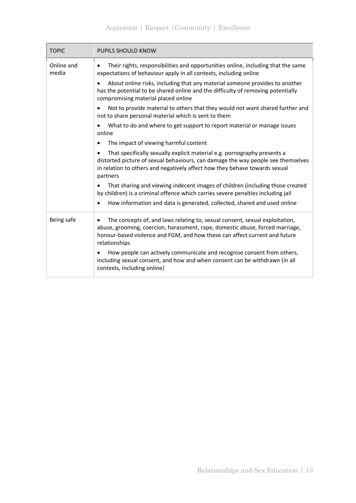## Aspiration | Respect |Community | Excellence

| <b>TOPIC</b>        | <b>PUPILS SHOULD KNOW</b>                                                                                                                                                                                                                                                                                                                                                                                            |
|---------------------|----------------------------------------------------------------------------------------------------------------------------------------------------------------------------------------------------------------------------------------------------------------------------------------------------------------------------------------------------------------------------------------------------------------------|
| Online and<br>media | Their rights, responsibilities and opportunities online, including that the same<br>$\bullet$<br>expectations of behaviour apply in all contexts, including online<br>About online risks, including that any material someone provides to another<br>has the potential to be shared online and the difficulty of removing potentially                                                                                |
|                     | compromising material placed online<br>Not to provide material to others that they would not want shared further and<br>$\bullet$<br>not to share personal material which is sent to them                                                                                                                                                                                                                            |
|                     | What to do and where to get support to report material or manage issues<br>online                                                                                                                                                                                                                                                                                                                                    |
|                     | The impact of viewing harmful content                                                                                                                                                                                                                                                                                                                                                                                |
|                     | That specifically sexually explicit material e.g. pornography presents a<br>distorted picture of sexual behaviours, can damage the way people see themselves<br>in relation to others and negatively affect how they behave towards sexual<br>partners                                                                                                                                                               |
|                     | That sharing and viewing indecent images of children (including those created<br>by children) is a criminal offence which carries severe penalties including jail                                                                                                                                                                                                                                                    |
|                     | How information and data is generated, collected, shared and used online                                                                                                                                                                                                                                                                                                                                             |
| Being safe          | The concepts of, and laws relating to, sexual consent, sexual exploitation,<br>abuse, grooming, coercion, harassment, rape, domestic abuse, forced marriage,<br>honour-based violence and FGM, and how these can affect current and future<br>relationships<br>How people can actively communicate and recognise consent from others,<br>including sexual consent, and how and when consent can be withdrawn (in all |
|                     | contexts, including online)                                                                                                                                                                                                                                                                                                                                                                                          |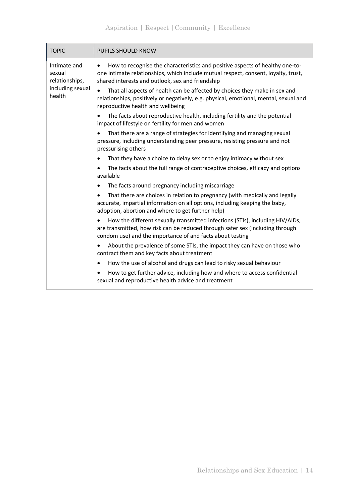| <b>TOPIC</b>                                                           | PUPILS SHOULD KNOW                                                                                                                                                                                                                                                                                                |
|------------------------------------------------------------------------|-------------------------------------------------------------------------------------------------------------------------------------------------------------------------------------------------------------------------------------------------------------------------------------------------------------------|
| Intimate and<br>sexual<br>relationships,<br>including sexual<br>health | How to recognise the characteristics and positive aspects of healthy one-to-<br>$\bullet$<br>one intimate relationships, which include mutual respect, consent, loyalty, trust,<br>shared interests and outlook, sex and friendship<br>That all aspects of health can be affected by choices they make in sex and |
|                                                                        | relationships, positively or negatively, e.g. physical, emotional, mental, sexual and<br>reproductive health and wellbeing                                                                                                                                                                                        |
|                                                                        | The facts about reproductive health, including fertility and the potential<br>impact of lifestyle on fertility for men and women                                                                                                                                                                                  |
|                                                                        | That there are a range of strategies for identifying and managing sexual<br>pressure, including understanding peer pressure, resisting pressure and not<br>pressurising others                                                                                                                                    |
|                                                                        | That they have a choice to delay sex or to enjoy intimacy without sex                                                                                                                                                                                                                                             |
|                                                                        | The facts about the full range of contraceptive choices, efficacy and options<br>available                                                                                                                                                                                                                        |
|                                                                        | The facts around pregnancy including miscarriage                                                                                                                                                                                                                                                                  |
|                                                                        | That there are choices in relation to pregnancy (with medically and legally<br>accurate, impartial information on all options, including keeping the baby,<br>adoption, abortion and where to get further help)                                                                                                   |
|                                                                        | How the different sexually transmitted infections (STIs), including HIV/AIDs,<br>are transmitted, how risk can be reduced through safer sex (including through<br>condom use) and the importance of and facts about testing                                                                                       |
|                                                                        | About the prevalence of some STIs, the impact they can have on those who<br>contract them and key facts about treatment                                                                                                                                                                                           |
|                                                                        | How the use of alcohol and drugs can lead to risky sexual behaviour<br>$\bullet$                                                                                                                                                                                                                                  |
|                                                                        | How to get further advice, including how and where to access confidential<br>sexual and reproductive health advice and treatment                                                                                                                                                                                  |